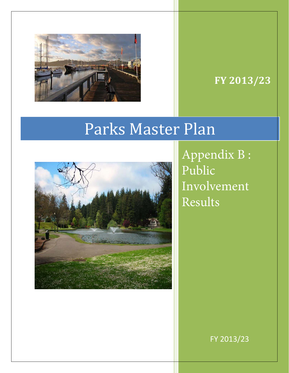

## **FY 2013/23**

# Parks Master Plan



Appendix B : Public Involvement Results

FY 2013/23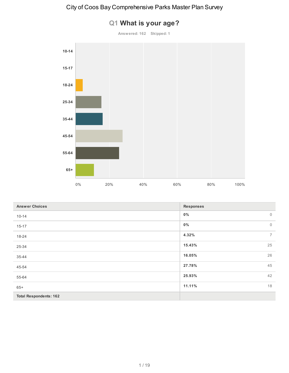# **10-14 15-17 18-24 25-34 35-44 45-54 55-64 65+** 0% 20% 40% 60% 80% 100%

| Q1 What is your age? |  |  |  |
|----------------------|--|--|--|
|----------------------|--|--|--|

**Answered: 162 Skipped: 1**

| <b>Answer Choices</b>         | <b>Responses</b>        |
|-------------------------------|-------------------------|
| $10 - 14$                     | $0\%$<br>$\mathbf 0$    |
| $15 - 17$                     | $0\%$<br>$\mathbf 0$    |
| 18-24                         | 4.32%<br>$\overline{7}$ |
| 25-34                         | 15.43%<br>25            |
| 35-44                         | 26<br>16.05%            |
| 45-54                         | 45<br>27.78%            |
| 55-64                         | 42<br>25.93%            |
| $65+$                         | 11.11%<br>18            |
| <b>Total Respondents: 162</b> |                         |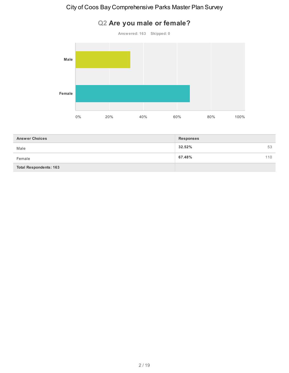#### **Q2 Are you male or female?**

**Answered: 163 Skipped: 0 Male Female** 0% 20% 40% 60% 80% 100%

| <b>Answer Choices</b>         | <b>Responses</b> |
|-------------------------------|------------------|
| Male                          | 32.52%<br>53     |
| Female                        | 67.48%<br>110    |
| <b>Total Respondents: 163</b> |                  |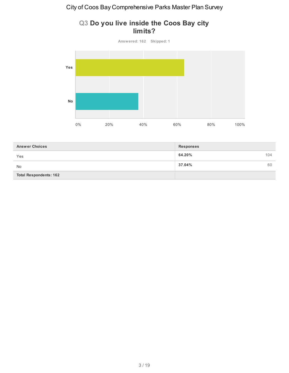

#### **Q3 Do you live inside the Coos Bay city limits?**

| <b>Answer Choices</b>         | <b>Responses</b> |
|-------------------------------|------------------|
| Yes                           | 64.20%<br>104    |
| <b>No</b>                     | 37.04%<br>60     |
| <b>Total Respondents: 162</b> |                  |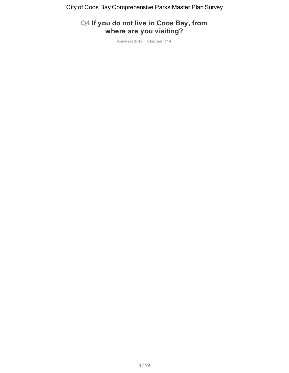#### **Q4 If you do not live in Coos Bay, from where are you visiting?**

**Answered: 49 Skipped: 114**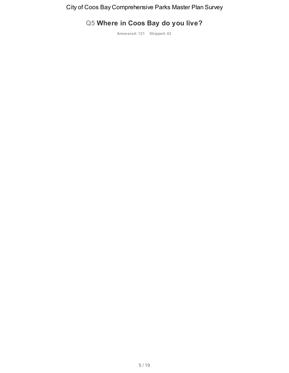### **Q5 Where in Coos Bay do you live?**

**Answered: 121 Skipped: 42**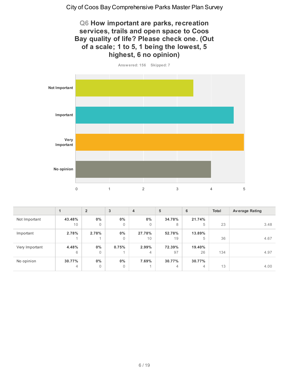**Q6 How important are parks, recreation services, trails and open space to Coos Bay quality of life? Please check one. (Out of a scale; 1 to 5, 1 being the lowest, 5 highest, 6 no opinion)**



|                | 1            | $\overline{2}$          | 3          | 4                       | 5              | 6            | Total | <b>Average Rating</b> |
|----------------|--------------|-------------------------|------------|-------------------------|----------------|--------------|-------|-----------------------|
| Not Important  | 43.48%<br>10 | $0\%$<br>$\mathbf 0$    | $0\%$<br>0 | $0\%$<br>$\overline{0}$ | 34.78%<br>8    | 21.74%<br>5  | 23    | 3.48                  |
| Important      | 2.78%        | 2.78%                   | $0\%$      | 27.78%                  | 52.78%         | 13.89%       |       |                       |
|                |              |                         | 0          | 10 <sup>°</sup>         | 19             | 5            | 36    | 4.67                  |
| Very Important | 4.48%<br>6   | $0\%$<br>$\overline{0}$ | 0.75%      | 2.99%<br>$\overline{4}$ | 72.39%<br>97   | 19.40%<br>26 | 134   | 4.97                  |
| No opinion     | 30.77%       | $0\%$                   | $0\%$      | 7.69%                   | 30.77%         | 30.77%       |       |                       |
|                | 4            | 0                       | $\Omega$   |                         | $\overline{4}$ | 4            | 13    | 4.00                  |

6 / 19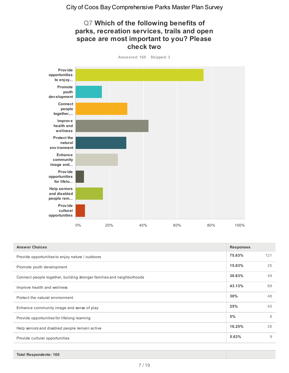#### **Q7 Which of the following benefits of parks, recreation services, trails and open space are most important to you? Please check two**



| <b>Answer Choices</b>                                                 | <b>Responses</b> |     |
|-----------------------------------------------------------------------|------------------|-----|
| Provide opportunities to enjoy nature / outdoors                      | 75.63%           | 121 |
| Promote youth development                                             | 15.63%           | 25  |
| Connect people together, building stronger families and neighborhoods | 30.63%           | 49  |
| Improve health and wellness                                           | 43.13%           | 69  |
| Protect the natural environment                                       | 30%              | 48  |
| Enhance community image and sense of play                             | 25%              | 40  |
| Provide opportunities for lifelong learning                           | 5%               | 8   |
| Help seniors and disabled people remain active                        | 16.25%           | 26  |
| Provide cultural opportunities                                        | 5.63%            | 9   |

**Answered: 160 Skipped: 3**

**Total Respondents: 160**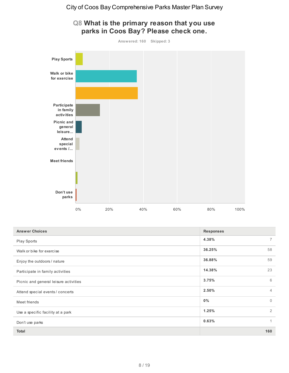

#### **Q8 What is the primary reason that you use parks in Coos Bay? Please check one.**

| <b>Answer Choices</b>                 | <b>Responses</b>        |
|---------------------------------------|-------------------------|
| Play Sports                           | 4.38%<br>7              |
| Walk or bike for exercise             | 36.25%<br>58            |
| Enjoy the outdoors / nature           | 59<br>36.88%            |
| Participate in family activities      | 14.38%<br>23            |
| Picnic and general leisure activities | 6<br>3.75%              |
| Attend special events / concerts      | 2.50%<br>$\overline{4}$ |
| Meet friends                          | 0%<br>$\Omega$          |
| Use a specific facility at a park     | 2<br>1.25%              |
| Don't use parks                       | 0.63%<br>1              |
| Total                                 | 160                     |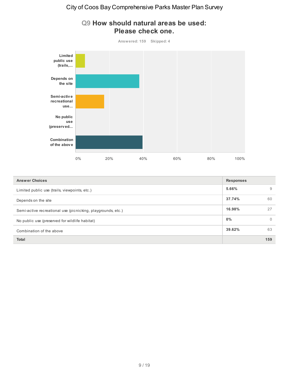

#### **Q9 How should natural areas be used: Please check one.**

| <b>Answer Choices</b>                                        | <b>Responses</b> |          |
|--------------------------------------------------------------|------------------|----------|
| Limited public use (trails, viewpoints, etc.)                | 5.66%            | 9        |
| Depends on the site                                          | 37.74%           | 60       |
| Semi-active recreational use (picnicking, playgrounds, etc.) | 16.98%           | 27       |
| No public use (preserved for wildlife habitat)               | 0%               | $\Omega$ |
| Combination of the above                                     | 39.62%           | 63       |
| <b>Total</b>                                                 |                  | 159      |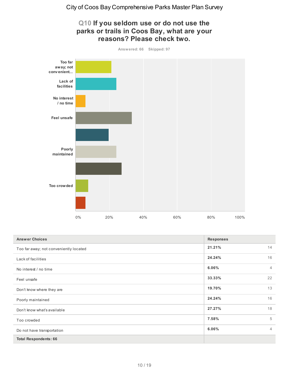#### **Q10 If you seldom use or do not use the parks or trails in Coos Bay, what are your reasons? Please check two.**

**Answered: 66 Skipped: 97**



| <b>Answer Choices</b>                  | <b>Responses</b> |                |
|----------------------------------------|------------------|----------------|
| Too far away; not conveniently located | 21.21%<br>14     |                |
| Lack of facilities                     | 16<br>24.24%     |                |
| No interest / no time                  | 6.06%            | $\overline{4}$ |
| Feel unsafe                            | 33.33%           | 22             |
| Don't know where they are              | 13<br>19.70%     |                |
| Poorly maintained                      | 16<br>24.24%     |                |
| Don't know what's available            | 27.27%<br>18     |                |
| Too crowded                            | 7.58%            | 5              |
| Do not have transportation             | 6.06%            | $\overline{4}$ |
| <b>Total Respondents: 66</b>           |                  |                |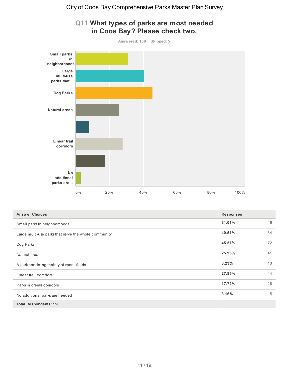

#### **Q11 What types of parks are most needed in Coos Bay? Please check two.**

| <b>Answer Choices</b>                                | <b>Responses</b> |    |
|------------------------------------------------------|------------------|----|
| Small parks in neighborhoods                         | 31.01%           | 49 |
| Large multi-use parks that serve the whole community | 40.51%           | 64 |
| Dog Parks                                            | 45.57%           | 72 |
| Natural areas                                        | 25.95%           | 41 |
| A park consisting mainly of sports fields            | 8.23%            | 13 |
| Linear trail corridors                               | 27.85%           | 44 |
| Parks in creeks corridors                            | 17.72%           | 28 |
| No additional parks are needed                       | 3.16%            | 5  |
| <b>Total Respondents: 158</b>                        |                  |    |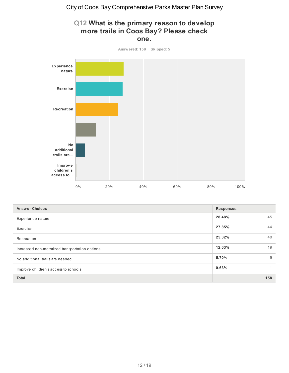#### **Q12 What is the primary reason to develop more trails in Coos Bay? Please check one.**



| <b>Answer Choices</b>                          | <b>Responses</b> |     |
|------------------------------------------------|------------------|-----|
| Experience nature                              | 28.48%           | 45  |
| Exercise                                       | 27.85%           | 44  |
| Recreation                                     | 25.32%           | 40  |
| Increased non-motorized transportation options | 12.03%           | 19  |
| No additional trails are needed                | 5.70%            | 9   |
| Improve children's access to schools           | 0.63%            |     |
| <b>Total</b>                                   |                  | 158 |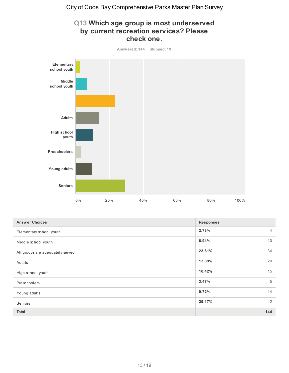

| Q13 Which age group is most underserved |
|-----------------------------------------|
| by current recreation services? Please  |
| check one.                              |

| <b>Answer Choices</b>            | <b>Responses</b>        |  |
|----------------------------------|-------------------------|--|
| Elementary school youth          | 2.78%<br>$\overline{4}$ |  |
| Middle school youth              | 10<br>6.94%             |  |
| All groups are adequately served | 34<br>23.61%            |  |
| Adults                           | 20<br>13.89%            |  |
| High school youth                | 15<br>10.42%            |  |
| Preschoolers                     | 5<br>3.47%              |  |
| Young adults                     | 14<br>9.72%             |  |
| Seniors                          | 42<br>29.17%            |  |
| Total                            | 144                     |  |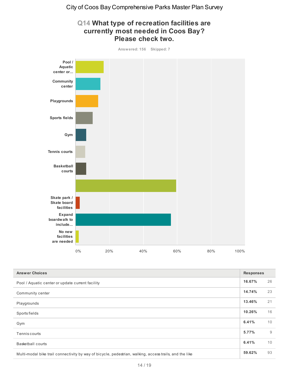

| Q14 What type of recreation facilities are |
|--------------------------------------------|
| currently most needed in Coos Bay?         |
| <b>Please check two.</b>                   |

| <b>Answer Choices</b>                                                                                   | <b>Responses</b> |    |
|---------------------------------------------------------------------------------------------------------|------------------|----|
| Pool / Aquatic center or update current facility                                                        | 16.67%           | 26 |
| Community center                                                                                        | 14.74%           | 23 |
| Playgrounds                                                                                             | 13.46%           | 21 |
| Sports fields                                                                                           | 10.26%           | 16 |
| Gym                                                                                                     | 6.41%            | 10 |
| Tennis courts                                                                                           | 5.77%            | 9  |
| <b>Basketball courts</b>                                                                                | 6.41%            | 10 |
| Multi-modal bike trail connectivity by way of bicycle, pedestrian, walking, access trails, and the like | 59.62%           | 93 |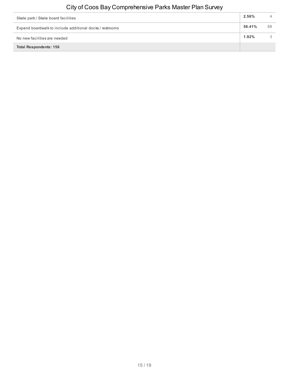| Skate park / Skate board facilities                      | 2.56%  |    |
|----------------------------------------------------------|--------|----|
| Expand boardwalk to include additional docks / restrooms | 56.41% | 88 |
| No new facilities are needed                             | 1.92%  |    |
| <b>Total Respondents: 156</b>                            |        |    |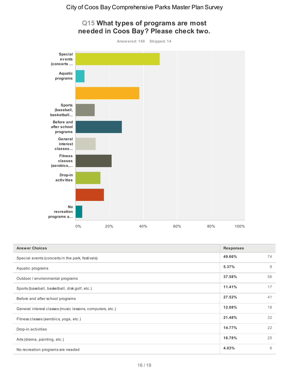

| <b>Answer Choices</b>                                     | <b>Responses</b> |    |
|-----------------------------------------------------------|------------------|----|
| Special events (concerts in the park, festivals)          | 49.66%           | 74 |
| Aquatic programs                                          | 5.37%            | 8  |
| Outdoor / environmental programs                          | 37.58%           | 56 |
| Sports (baseball, basketball, disk golf, etc.)            | 11.41%           | 17 |
| Before and after school programs                          | 27.52%           | 41 |
| General interest classes (music lessons, computers, etc.) | 12.08%           | 18 |
| Fitness classes (aerobics, yoga, etc.)                    | 21.48%           | 32 |
| Drop-in activities                                        | 14.77%           | 22 |
| Arts (drama, painting, etc.)                              | 16.78%           | 25 |
| No recreation programs are needed                         | 4.03%            | 6  |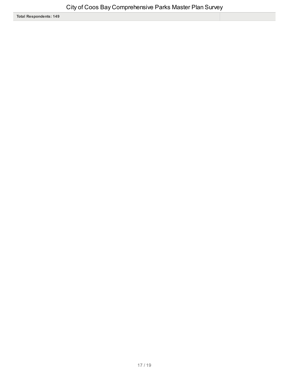**Total Respondents: 149**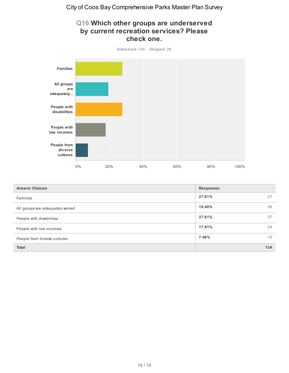#### **Q16 Which other groups are underserved by current recreation services? Please check one.**



| <b>Answer Choices</b>            | <b>Responses</b> |     |
|----------------------------------|------------------|-----|
| Families                         | 27.61%           | 37  |
| All groups are adequately served | 19.40%           | 26  |
| People with disabilities         | 27.61%           | 37  |
| People with low incomes          | 17.91%           | 24  |
| People from diverse cultures     | 7.46%            | 10  |
| <b>Total</b>                     |                  | 134 |